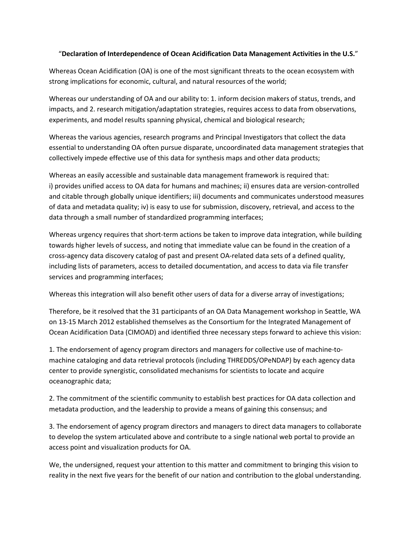## "**Declaration of Interdependence of Ocean Acidification Data Management Activities in the U.S.**"

Whereas Ocean Acidification (OA) is one of the most significant threats to the ocean ecosystem with strong implications for economic, cultural, and natural resources of the world;

Whereas our understanding of OA and our ability to: 1. inform decision makers of status, trends, and impacts, and 2. research mitigation/adaptation strategies, requires access to data from observations, experiments, and model results spanning physical, chemical and biological research;

Whereas the various agencies, research programs and Principal Investigators that collect the data essential to understanding OA often pursue disparate, uncoordinated data management strategies that collectively impede effective use of this data for synthesis maps and other data products;

Whereas an easily accessible and sustainable data management framework is required that: i) provides unified access to OA data for humans and machines; ii) ensures data are version-controlled and citable through globally unique identifiers; iii) documents and communicates understood measures of data and metadata quality; iv) is easy to use for submission, discovery, retrieval, and access to the data through a small number of standardized programming interfaces;

Whereas urgency requires that short-term actions be taken to improve data integration, while building towards higher levels of success, and noting that immediate value can be found in the creation of a cross-agency data discovery catalog of past and present OA-related data sets of a defined quality, including lists of parameters, access to detailed documentation, and access to data via file transfer services and programming interfaces;

Whereas this integration will also benefit other users of data for a diverse array of investigations;

Therefore, be it resolved that the 31 participants of an OA Data Management workshop in Seattle, WA on 13-15 March 2012 established themselves as the Consortium for the Integrated Management of Ocean Acidification Data (CIMOAD) and identified three necessary steps forward to achieve this vision:

1. The endorsement of agency program directors and managers for collective use of machine-tomachine cataloging and data retrieval protocols (including THREDDS/OPeNDAP) by each agency data center to provide synergistic, consolidated mechanisms for scientists to locate and acquire oceanographic data;

2. The commitment of the scientific community to establish best practices for OA data collection and metadata production, and the leadership to provide a means of gaining this consensus; and

3. The endorsement of agency program directors and managers to direct data managers to collaborate to develop the system articulated above and contribute to a single national web portal to provide an access point and visualization products for OA.

We, the undersigned, request your attention to this matter and commitment to bringing this vision to reality in the next five years for the benefit of our nation and contribution to the global understanding.